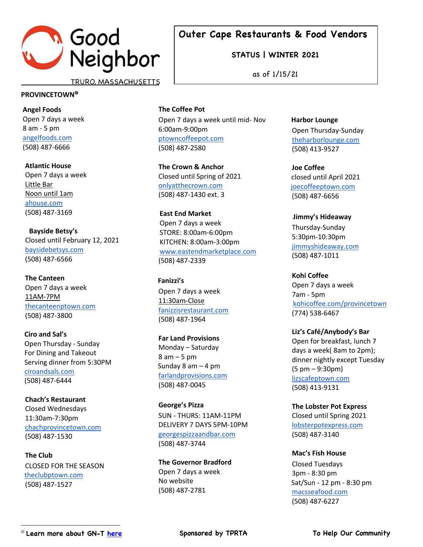

**STATUS | WINTER 2021**

as of 1/15/21

TRURO, MASSACHUSETTS

#### **PROVINCETOWN**<sup>Ä</sup>

**Angel Foods** Open 7 days a week 8 am - 5 pm angelfoods.com (508) 487-6666

**Atlantic House**  Open 7 days a week Little Bar Noon until 1am ahouse.com (508) 487-3169

**Bayside Betsy's** Closed until February 12, 2021 baysidebetsys.com (508) 487-6566

**The Canteen** Open 7 days a week 11AM-7PM thecanteenptown.com (508) 487-3800

 **Ciro and Sal's**  Open Thursday - Sunday For Dining and Takeout Serving dinner from 5:30PM ciroandsals.com (508) 487-6444

**Chach's Restaurant**  Closed Wednesdays 11:30am-7:30pm chachprovincetown.com (508) 487-1530

**The Club** CLOSED FOR THE SEASON theclubptown.com (508) 487-1527

**The Coffee Pot** Open 7 days a week until mid- Nov 6:00am-9:00pm ptowncoffeepot.com (508) 487-2580

**The Crown & Anchor**  Closed until Spring of 2021 onlyatthecrown.com (508) 487-1430 ext. 3

 **East End Market** Open 7 days a week STORE: 8:00am-6:00pm KITCHEN: 8:00am-3:00pm www.eastendmarketplace.com d(508) 487-2339

 **Fanizzi's** Open 7 days a week 11:30am-Close fanizzisrestaurant.com (508) 487-1964

**Far Land Provisions**  Monday – Saturday 8 am – 5 pm Sunday 8 am  $-$  4 pm farlandprovisions.com (508) 487-0045

**George's Pizza** SUN - THURS: 11AM-11PM DELIVERY 7 DAYS 5PM-10PM georgespizzaandbar.com (508) 487-3744

**The Governor Bradford** Open 7 days a week No website (508) 487-2781

 **Harbor Lounge** Open Thursday-Sunday theharborlounge.com (508) 413-9527

**Joe Coffee** closed until April 2021 joecoffeeptown.com d(508) 487-6656

 **Jimmy's Hideaway** Thursday-Sunday 5:30pm-10:30pm jimmyshideaway.com (508) 487-1011

**Kohi Coffee** Open 7 days a week 7am - 5pm kohicoffee.com/provincetown (774) 538-6467

**Liz's Café/Anybody's Bar**  Open for breakfast, lunch 7 days a week( 8am to 2pm); dinner nightly except Tuesday (5 pm – 9:30pm) lizscafeptown.com (508) 413-9131

**The Lobster Pot Express**  Closed until Spring 2021 lobsterpotexpress.com (508) 487-3140

**Mac's Fish House** Closed Tuesdays 3pm - 8:30 pm Sat/Sun - 12 pm - 8:30 pm macsseafood.com (508) 487-6227

**Sponsored by TPRTA**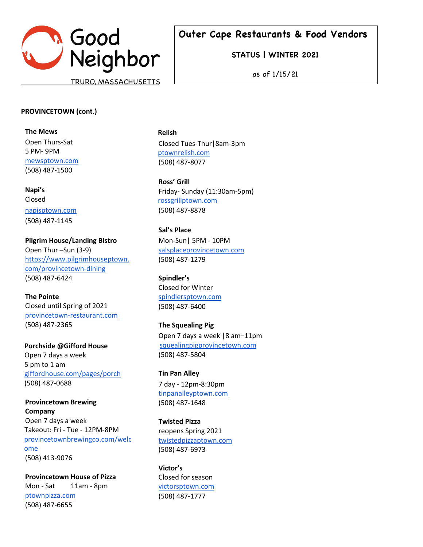

**STATUS | WINTER 2021**

as of 1/15/21

### **PROVINCETOWN (cont.)**

**The Mews** Open Thurs-Sat 5 PM- 9PM mewsptown.com (508) 487-1500

**Napi's** Closed

napisptown.com (508) 487-1145

**Pilgrim House/Landing Bistro**  Open Thur –Sun (3-9) https://www.pilgrimhouseptown. com/provincetown-dining (508) 487-6424

**The Pointe** Closed until Spring of 2021 provincetown-restaurant.com (508) 487-2365

 **Porchside @Gifford House**  Open 7 days a week 5 pm to 1 am giffordhouse.com/pages/porch (508) 487-0688

**Provincetown Brewing Company** Open 7 days a week Takeout: Fri - Tue - 12PM-8PM provincetownbrewingco.com/welc ome (508) 413-9076

**Provincetown House of Pizza**  Mon - Sat 11am - 8pm ptownpizza.com (508) 487-6655

 **Relish** Closed Tues-Thur|8am-3pm ptownrelish.com (508) 487-8077

**Ross' Grill** Friday- Sunday (11:30am-5pm) rossgrillptown.com (508) 487-8878

**Sal's Place** Mon-Sun| 5PM - 10PM salsplaceprovincetown.com (508) 487-1279

**Spindler's** Closed for Winter spindlersptown.com (508) 487-6400

**The Squealing Pig** Open 7 days a week |8 am–11pm squealingpigprovincetown.com (508) 487-5804

**Tin Pan Alley** 7 day - 12pm-8:30pm tinpanalleyptown.com (508) 487-1648

**Twisted Pizza** reopens Spring 2021 twistedpizzaptown.com (508) 487-6973

**Victor's** Closed for season victorsptown.com (508) 487-1777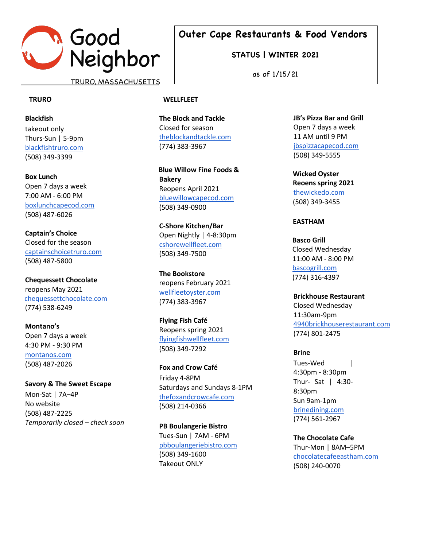

TRURO, MASSACHUSETTS

#### **TRURO**

**Blackfish** takeout only Thurs-Sun | 5-9pm blackfishtruro.com (508) 349-3399

### **Box Lunch**

Open 7 days a week 7:00 AM - 6:00 PM boxlunchcapecod.com (508) 487-6026

**Captain's Choice** Closed for the season captainschoicetruro.com (508) 487-5800

**Chequessett Chocolate**  reopens May 2021 chequessettchocolate.com (774) 538-6249

**Montano's** Open 7 days a week 4:30 PM - 9:30 PM montanos.com (508) 487-2026

**Savory & The Sweet Escape** Mon-Sat | 7A–4P No website (508) 487-2225 *Temporarily closed – check soon* **Outer Cape Restaurants & Food Vendors**

**STATUS | WINTER 2021**

as of 1/15/21

#### **WELLFLEET**

**The Block and Tackle**  Closed for season theblockandtackle.com (774) 383-3967

 **Blue Willow Fine Foods & Bakery** Reopens April 2021 bluewillowcapecod.com (508) 349-0900

**C-Shore Kitchen/Bar**  Open Nightly | 4-8:30pm cshorewellfleet.com (508) 349-7500

**The Bookstore** reopens February 2021 wellfleetoyster.com (774) 383-3967

**Flying Fish Café** Reopens spring 2021 flyingfishwellfleet.com (508) 349-7292

**Fox and Crow Café** Friday 4-8PM Saturdays and Sundays 8-1PM thefoxandcrowcafe.com (508) 214-0366

**PB Boulangerie Bistro**  Tues-Sun | 7AM - 6PM pbboulangeriebistro.com (508) 349-1600 Takeout ONLY

**JB's Pizza Bar and Grill**  Open 7 days a week 11 AM until 9 PM jbspizzacapecod.com (508) 349-5555

 **Wicked Oyster Reoens spring 2021**  thewickedo.com (508) 349-3455

#### **EASTHAM**

**Basco Grill**  Closed Wednesday 11:00 AM - 8:00 PM bascogrill.com (774) 316-4397

**Brickhouse Restaurant**  Closed Wednesday 11:30am-9pm 4940brickhouserestaurant.com (774) 801-2475

**Brine**

Tues-Wed | 4:30pm - 8:30pm Thur- Sat | 4:30- 8:30pm Sun 9am-1pm brinedining.com (774) 561-2967

**The Chocolate Cafe** Thur-Mon | 8AM–5PM chocolatecafeeastham.com (508) 240-0070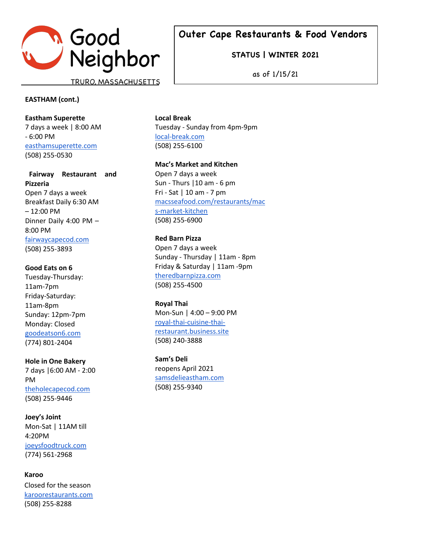

**STATUS | WINTER 2021**

as of 1/15/21

### **EASTHAM (cont.)**

**Eastham Superette** 7 days a week | 8:00 AM - 6:00 PM easthamsuperette.com (508) 255-0530

**Fairway Restaurant and Pizzeria** Open 7 days a week Breakfast Daily 6:30 AM – 12:00 PM Dinner Daily 4:00 PM – 8:00 PM fairwaycapecod.com (508) 255-3893

#### **Good Eats on 6**

Tuesday-Thursday: 11am-7pm Friday-Saturday: 11am-8pm Sunday: 12pm-7pm Monday: Closed goodeatson6.com (774) 801-2404

**Hole in One Bakery**  7 days |6:00 AM - 2:00 PM theholecapecod.com (508) 255-9446

**Joey's Joint** Mon-Sat | 11AM till 4:20PM joeysfoodtruck.com (774) 561-2968

 **Karoo** Closed for the season karoorestaurants.com (508) 255-8288

**Local Break** Tuesday - Sunday from 4pm-9pm local-break.com (508) 255-6100

**Mac's Market and Kitchen** Open 7 days a week Sun - Thurs |10 am - 6 pm Fri - Sat | 10 am - 7 pm macsseafood.com/restaurants/mac s-market-kitchen (508) 255-6900

**Red Barn Pizza** 

Open 7 days a week Sunday - Thursday | 11am - 8pm Friday & Saturday | 11am -9pm theredbarnpizza.com (508) 255-4500

**Royal Thai**  Mon-Sun | 4:00 – 9:00 PM royal-thai-cuisine-thairestaurant.business.site (508) 240-3888

**Sam's Deli** reopens April 2021 samsdelieastham.com (508) 255-9340